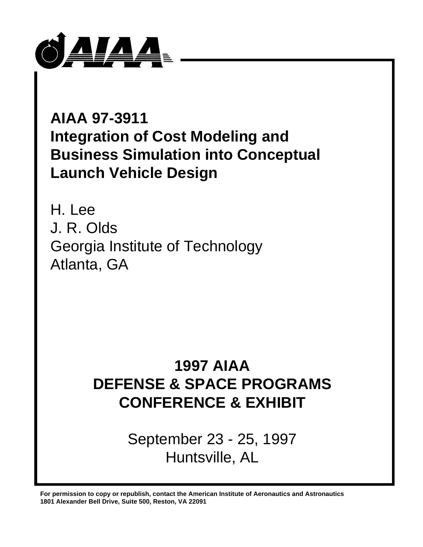

# **AIAA 97-3911 Integration of Cost Modeling and Business Simulation into Conceptual Launch Vehicle Design**

H. Lee J. R. Olds Georgia Institute of Technology Atlanta, GA

# **1997 AIAA DEFENSE & SPACE PROGRAMS CONFERENCE & EXHIBIT**

September 23 - 25, 1997 Huntsville, AL

**For permission to copy or republish, contact the American Institute of Aeronautics and Astronautics 1801 Alexander Bell Drive, Suite 500, Reston, VA 22091**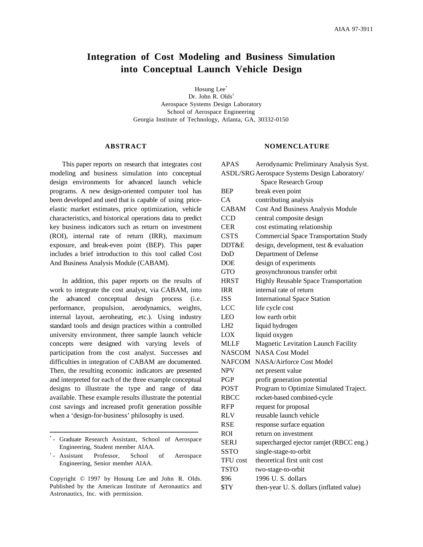# **Integration of Cost Modeling and Business Simulation into Conceptual Launch Vehicle Design**

Hosung Lee<sup>\*</sup>

Dr. John R. Olds† Aerospace Systems Design Laboratory School of Aerospace Engineering Georgia Institute of Technology, Atlanta, GA, 30332-0150

#### **ABSTRACT**

This paper reports on research that integrates cost modeling and business simulation into conceptual design environments for advanced launch vehicle programs. A new design-oriented computer tool has been developed and used that is capable of using priceelastic market estimates, price optimization, vehicle characteristics, and historical operations data to predict key business indicators such as return on investment (ROI), internal rate of return (IRR), maximum exposure, and break-even point (BEP). This paper includes a brief introduction to this tool called Cost And Business Analysis Module (CABAM).

In addition, this paper reports on the results of work to integrate the cost analyst, via CABAM, into the advanced conceptual design process (i.e. performance, propulsion, aerodynamics, weights, internal layout, aeroheating, etc.). Using industry standard tools and design practices within a controlled university environment, three sample launch vehicle concepts were designed with varying levels of participation from the cost analyst. Successes and difficulties in integration of CABAM are documented. Then, the resulting economic indicators are presented and interpreted for each of the three example conceptual designs to illustrate the type and range of data available. These example results illustrate the potential cost savings and increased profit generation possible when a 'design-for-business' philosophy is used.

\* - Graduate Research Assistant, School of Aerospace Engineering, Student member AIAA.

\_\_\_\_\_\_\_\_\_\_\_\_\_\_\_\_\_\_\_\_\_\_\_\_\_\_\_\_\_\_\_\_\_\_\_\_\_\_\_\_\_\_\_

† - Assistant Professor, School of Aerospace Engineering, Senior member AIAA.

Copyright © 1997 by Hosung Lee and John R. Olds. Published by the American Institute of Aeronautics and Astronautics, Inc. with permission.

#### **NOMENCLATURE**

| <b>APAS</b>     | Aerodynamic Preliminary Analysis Syst.        |  |  |  |  |  |  |
|-----------------|-----------------------------------------------|--|--|--|--|--|--|
|                 | ASDL/SRG Aerospace Systems Design Laboratory/ |  |  |  |  |  |  |
|                 | <b>Space Research Group</b>                   |  |  |  |  |  |  |
| <b>BEP</b>      | break even point                              |  |  |  |  |  |  |
| CA              | contributing analysis                         |  |  |  |  |  |  |
| <b>CABAM</b>    | <b>Cost And Business Analysis Module</b>      |  |  |  |  |  |  |
| <b>CCD</b>      | central composite design                      |  |  |  |  |  |  |
| <b>CER</b>      | cost estimating relationship                  |  |  |  |  |  |  |
| <b>CSTS</b>     | <b>Commercial Space Transportation Study</b>  |  |  |  |  |  |  |
| DDT&E           | design, development, test & evaluation        |  |  |  |  |  |  |
| DoD             | Department of Defense                         |  |  |  |  |  |  |
| DOE             | design of experiments                         |  |  |  |  |  |  |
| GTO             | geosynchronous transfer orbit                 |  |  |  |  |  |  |
| <b>HRST</b>     | Highly Reusable Space Transportation          |  |  |  |  |  |  |
| IRR             | internal rate of return                       |  |  |  |  |  |  |
| <b>ISS</b>      | <b>International Space Station</b>            |  |  |  |  |  |  |
| LCC             | life cycle cost                               |  |  |  |  |  |  |
| <b>LEO</b>      | low earth orbit                               |  |  |  |  |  |  |
| LH <sub>2</sub> | liquid hydrogen                               |  |  |  |  |  |  |
| LOX             | liquid oxygen                                 |  |  |  |  |  |  |
| <b>MLLF</b>     | Magnetic Levitation Launch Facility           |  |  |  |  |  |  |
| NASCOM          | <b>NASA Cost Model</b>                        |  |  |  |  |  |  |
| <b>NAFCOM</b>   | NASA/Airforce Cost Model                      |  |  |  |  |  |  |
| <b>NPV</b>      | net present value                             |  |  |  |  |  |  |
| <b>PGP</b>      | profit generation potential                   |  |  |  |  |  |  |
| <b>POST</b>     | Program to Optimize Simulated Traject.        |  |  |  |  |  |  |
| <b>RBCC</b>     | rocket-based combined-cycle                   |  |  |  |  |  |  |
| <b>RFP</b>      | request for proposal                          |  |  |  |  |  |  |
| <b>RLV</b>      | reusable launch vehicle                       |  |  |  |  |  |  |
| <b>RSE</b>      | response surface equation                     |  |  |  |  |  |  |
| ROI             | return on investment                          |  |  |  |  |  |  |
| <b>SERJ</b>     | supercharged ejector ramjet (RBCC eng.)       |  |  |  |  |  |  |
| <b>SSTO</b>     | single-stage-to-orbit                         |  |  |  |  |  |  |
| TFU cost        | theoretical first unit cost                   |  |  |  |  |  |  |
| <b>TSTO</b>     | two-stage-to-orbit                            |  |  |  |  |  |  |
| \$96            | 1996 U.S. dollars                             |  |  |  |  |  |  |
| \$TY            | then-year U.S. dollars (inflated value)       |  |  |  |  |  |  |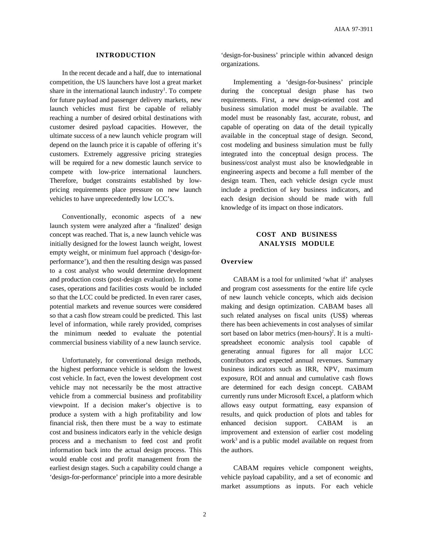#### **INTRODUCTION**

In the recent decade and a half, due to international competition, the US launchers have lost a great market share in the international launch industry<sup>1</sup>. To compete for future payload and passenger delivery markets, new launch vehicles must first be capable of reliably reaching a number of desired orbital destinations with customer desired payload capacities. However, the ultimate success of a new launch vehicle program will depend on the launch price it is capable of offering it's customers. Extremely aggressive pricing strategies will be required for a new domestic launch service to compete with low-price international launchers. Therefore, budget constraints established by lowpricing requirements place pressure on new launch vehicles to have unprecedentedly low LCC's.

Conventionally, economic aspects of a new launch system were analyzed after a 'finalized' design concept was reached. That is, a new launch vehicle was initially designed for the lowest launch weight, lowest empty weight, or minimum fuel approach ('design-forperformance'), and then the resulting design was passed to a cost analyst who would determine development and production costs (post-design evaluation). In some cases, operations and facilities costs would be included so that the LCC could be predicted. In even rarer cases, potential markets and revenue sources were considered so that a cash flow stream could be predicted. This last level of information, while rarely provided, comprises the minimum needed to evaluate the potential commercial business viability of a new launch service.

Unfortunately, for conventional design methods, the highest performance vehicle is seldom the lowest cost vehicle. In fact, even the lowest development cost vehicle may not necessarily be the most attractive vehicle from a commercial business and profitability viewpoint. If a decision maker's objective is to produce a system with a high profitability and low financial risk, then there must be a way to estimate cost and business indicators early in the vehicle design process and a mechanism to feed cost and profit information back into the actual design process. This would enable cost and profit management from the earliest design stages. Such a capability could change a 'design-for-performance' principle into a more desirable

'design-for-business' principle within advanced design organizations.

Implementing a 'design-for-business' principle during the conceptual design phase has two requirements. First, a new design-oriented cost and business simulation model must be available. The model must be reasonably fast, accurate, robust, and capable of operating on data of the detail typically available in the conceptual stage of design. Second, cost modeling and business simulation must be fully integrated into the conceptual design process. The business/cost analyst must also be knowledgeable in engineering aspects and become a full member of the design team. Then, each vehicle design cycle must include a prediction of key business indicators, and each design decision should be made with full knowledge of its impact on those indicators.

# **COST AND BUSINESS ANALYSIS MODULE**

### **Overview**

CABAM is a tool for unlimited 'what if' analyses and program cost assessments for the entire life cycle of new launch vehicle concepts, which aids decision making and design optimization. CABAM bases all such related analyses on fiscal units (US\$) whereas there has been achievements in cost analyses of similar sort based on labor metrics (men-hours)<sup>2</sup>. It is a multispreadsheet economic analysis tool capable of generating annual figures for all major LCC contributors and expected annual revenues. Summary business indicators such as IRR, NPV, maximum exposure, ROI and annual and cumulative cash flows are determined for each design concept. CABAM currently runs under Microsoft Excel, a platform which allows easy output formatting, easy expansion of results, and quick production of plots and tables for enhanced decision support. CABAM is an improvement and extension of earlier cost modeling work<sup>3</sup> and is a public model available on request from the authors.

CABAM requires vehicle component weights, vehicle payload capability, and a set of economic and market assumptions as inputs. For each vehicle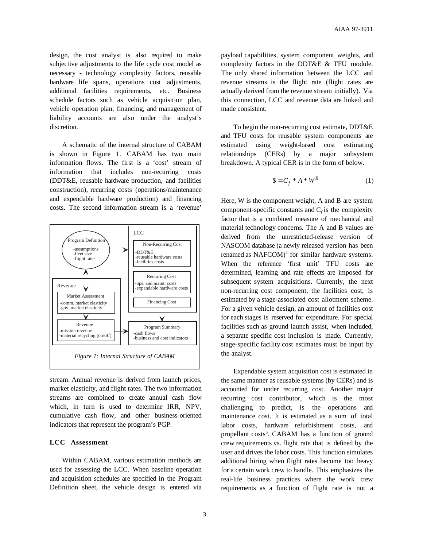design, the cost analyst is also required to make subjective adjustments to the life cycle cost model as necessary - technology complexity factors, reusable hardware life spans, operations cost adjustments, additional facilities requirements, etc. Business schedule factors such as vehicle acquisition plan, vehicle operation plan, financing, and management of liability accounts are also under the analyst's discretion.

A schematic of the internal structure of CABAM is shown in Figure 1. CABAM has two main information flows. The first is a 'cost' stream of information that includes non-recurring costs (DDT&E, reusable hardware production, and facilities construction), recurring costs (operations/maintenance and expendable hardware production) and financing costs. The second information stream is a 'revenue'



stream. Annual revenue is derived from launch prices, market elasticity, and flight rates. The two information streams are combined to create annual cash flow which, in turn is used to determine IRR, NPV, cumulative cash flow, and other business-oriented indicators that represent the program's PGP.

#### **LCC Assessment**

Within CABAM, various estimation methods are used for assessing the LCC. When baseline operation and acquisition schedules are specified in the Program Definition sheet, the vehicle design is entered via payload capabilities, system component weights, and complexity factors in the DDT&E & TFU module. The only shared information between the LCC and revenue streams is the flight rate (flight rates are actually derived from the revenue stream initially). Via this connection, LCC and revenue data are linked and made consistent.

To begin the non-recurring cost estimate, DDT&E and TFU costs for reusable system components are estimated using weight-based cost estimating relationships (CERs) by a major subsystem breakdown. A typical CER is in the form of below.

$$
\$ = C_f * A * W^B \tag{1}
$$

Here, W is the component weight, A and B are system component-specific constants and  $C_f$  is the complexity factor that is a combined measure of mechanical and material technology concerns. The A and B values are derived from the unrestricted-release version of NASCOM database (a newly released version has been renamed as  $NAFCOM$ <sup>4</sup> for similar hardware systems. When the reference 'first unit' TFU costs are determined, learning and rate effects are imposed for subsequent system acquisitions. Currently, the next non-recurring cost component, the facilities cost, is estimated by a stage-associated cost allotment scheme. For a given vehicle design, an amount of facilities cost for each stages is reserved for expenditure. For special facilities such as ground launch assist, when included, a separate specific cost inclusion is made. Currently, stage-specific facility cost estimates must be input by the analyst.

Expendable system acquisition cost is estimated in the same manner as reusable systems (by CERs) and is accounted for under recurring cost. Another major recurring cost contributor, which is the most challenging to predict, is the operations and maintenance cost. It is estimated as a sum of total labor costs, hardware refurbishment costs, and propellant costs<sup>5</sup>. CABAM has a function of ground crew requirements vs. flight rate that is defined by the user and drives the labor costs. This function simulates additional hiring when flight rates become too heavy for a certain work crew to handle. This emphasizes the real-life business practices where the work crew requirements as a function of flight rate is not a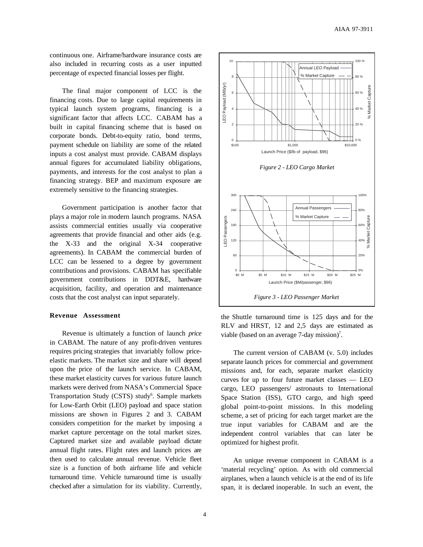continuous one. Airframe/hardware insurance costs are also included in recurring costs as a user inputted percentage of expected financial losses per flight.

The final major component of LCC is the financing costs. Due to large capital requirements in typical launch system programs, financing is a significant factor that affects LCC. CABAM has a built in capital financing scheme that is based on corporate bonds. Debt-to-equity ratio, bond terms, payment schedule on liability are some of the related inputs a cost analyst must provide. CABAM displays annual figures for accumulated liability obligations, payments, and interests for the cost analyst to plan a financing strategy. BEP and maximum exposure are extremely sensitive to the financing strategies.

Government participation is another factor that plays a major role in modern launch programs. NASA assists commercial entities usually via cooperative agreements that provide financial and other aids (e.g. the X-33 and the original X-34 cooperative agreements). In CABAM the commercial burden of LCC can be lessened to a degree by government contributions and provisions. CABAM has specifiable government contributions in DDT&E, hardware acquisition, facility, and operation and maintenance costs that the cost analyst can input separately.

## **Revenue Assessment**

Revenue is ultimately a function of launch *price* in CABAM. The nature of any profit-driven ventures requires pricing strategies that invariably follow priceelastic markets. The market size and share will depend upon the price of the launch service. In CABAM, these market elasticity curves for various future launch markets were derived from NASA's Commercial Space Transportation Study (CSTS) study<sup>6</sup>. Sample markets for Low-Earth Orbit (LEO) payload and space station missions are shown in Figures 2 and 3. CABAM considers competition for the market by imposing a market capture percentage on the total market sizes. Captured market size and available payload dictate annual flight rates. Flight rates and launch prices are then used to calculate annual revenue. Vehicle fleet size is a function of both airframe life and vehicle turnaround time. Vehicle turnaround time is usually checked after a simulation for its viability. Currently,



the Shuttle turnaround time is 125 days and for the RLV and HRST, 12 and 2,5 days are estimated as viable (based on an average  $7$ -day mission)<sup>7</sup>.

The current version of CABAM (v. 5.0) includes separate launch prices for commercial and government missions and, for each, separate market elasticity curves for up to four future market classes — LEO cargo, LEO passengers/ astronauts to International Space Station (ISS), GTO cargo, and high speed global point-to-point missions. In this modeling scheme, a set of pricing for each target market are the true input variables for CABAM and are the independent control variables that can later be optimized for highest profit.

An unique revenue component in CABAM is a 'material recycling' option. As with old commercial airplanes, when a launch vehicle is at the end of its life span, it is declared inoperable. In such an event, the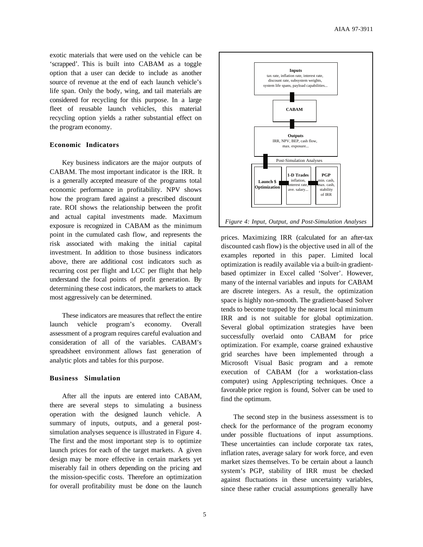exotic materials that were used on the vehicle can be 'scrapped'. This is built into CABAM as a toggle option that a user can decide to include as another source of revenue at the end of each launch vehicle's life span. Only the body, wing, and tail materials are considered for recycling for this purpose. In a large fleet of reusable launch vehicles, this material recycling option yields a rather substantial effect on the program economy.

# **Economic Indicators**

Key business indicators are the major outputs of CABAM. The most important indicator is the IRR. It is a generally accepted measure of the programs total economic performance in profitability. NPV shows how the program fared against a prescribed discount rate. ROI shows the relationship between the profit and actual capital investments made. Maximum exposure is recognized in CABAM as the minimum point in the cumulated cash flow, and represents the risk associated with making the initial capital investment. In addition to those business indicators above, there are additional cost indicators such as recurring cost per flight and LCC per flight that help understand the focal points of profit generation. By determining these cost indicators, the markets to attack most aggressively can be determined.

These indicators are measures that reflect the entire launch vehicle program's economy. Overall assessment of a program requires careful evaluation and consideration of all of the variables. CABAM's spreadsheet environment allows fast generation of analytic plots and tables for this purpose.

#### **Business Simulation**

After all the inputs are entered into CABAM, there are several steps to simulating a business operation with the designed launch vehicle. A summary of inputs, outputs, and a general postsimulation analyses sequence is illustrated in Figure 4. The first and the most important step is to optimize launch prices for each of the target markets. A given design may be more effective in certain markets yet miserably fail in others depending on the pricing and the mission-specific costs. Therefore an optimization for overall profitability must be done on the launch



*Figure 4: Input, Output, and Post-Simulation Analyses*

prices. Maximizing IRR (calculated for an after-tax discounted cash flow) is the objective used in all of the examples reported in this paper. Limited local optimization is readily available via a built-in gradientbased optimizer in Excel called 'Solver'. However, many of the internal variables and inputs for CABAM are discrete integers. As a result, the optimization space is highly non-smooth. The gradient-based Solver tends to become trapped by the nearest local minimum IRR and is not suitable for global optimization. Several global optimization strategies have been successfully overlaid onto CABAM for price optimization. For example, coarse grained exhaustive grid searches have been implemented through a Microsoft Visual Basic program and a remote execution of CABAM (for a workstation-class computer) using Applescripting techniques. Once a favorable price region is found, Solver can be used to find the optimum.

The second step in the business assessment is to check for the performance of the program economy under possible fluctuations of input assumptions. These uncertainties can include corporate tax rates, inflation rates, average salary for work force, and even market sizes themselves. To be certain about a launch system's PGP, stability of IRR must be checked against fluctuations in these uncertainty variables, since these rather crucial assumptions generally have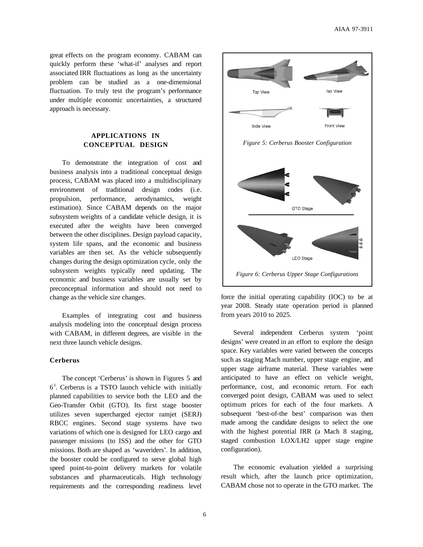great effects on the program economy. CABAM can quickly perform these 'what-if' analyses and report associated IRR fluctuations as long as the uncertainty problem can be studied as a one-dimensional fluctuation. To truly test the program's performance under multiple economic uncertainties, a structured approach is necessary.

# **APPLICATIONS IN CONCEPTUAL DESIGN**

To demonstrate the integration of cost and business analysis into a traditional conceptual design process, CABAM was placed into a multidisciplinary environment of traditional design codes (i.e. propulsion, performance, aerodynamics, weight estimation). Since CABAM depends on the major subsystem weights of a candidate vehicle design, it is executed after the weights have been converged between the other disciplines. Design payload capacity, system life spans, and the economic and business variables are then set. As the vehicle subsequently changes during the design optimization cycle, only the subsystem weights typically need updating. The economic and business variables are usually set by preconceptual information and should not need to change as the vehicle size changes.

Examples of integrating cost and business analysis modeling into the conceptual design process with CABAM, in different degrees, are visible in the next three launch vehicle designs.

# **Cerberus**

The concept 'Cerberus' is shown in Figures 5 and 63 . Cerberus is a TSTO launch vehicle with initially planned capabilities to service both the LEO and the Geo-Transfer Orbit (GTO). Its first stage booster utilizes seven supercharged ejector ramjet (SERJ) RBCC engines. Second stage systems have two variations of which one is designed for LEO cargo and passenger missions (to ISS) and the other for GTO missions. Both are shaped as 'waveriders'. In addition, the booster could be configured to serve global high speed point-to-point delivery markets for volatile substances and pharmaceuticals. High technology requirements and the corresponding readiness level



force the initial operating capability (IOC) to be at year 2008. Steady state operation period is planned from years 2010 to 2025.

Several independent Cerberus system 'point designs' were created in an effort to explore the design space. Key variables were varied between the concepts such as staging Mach number, upper stage engine, and upper stage airframe material. These variables were anticipated to have an effect on vehicle weight, performance, cost, and economic return. For each converged point design, CABAM was used to select optimum prices for each of the four markets. A subsequent 'best-of-the best' comparison was then made among the candidate designs to select the one with the highest potential IRR (a Mach 8 staging, staged combustion LOX/LH2 upper stage engine configuration).

The economic evaluation yielded a surprising result which, after the launch price optimization, CABAM chose not to operate in the GTO market. The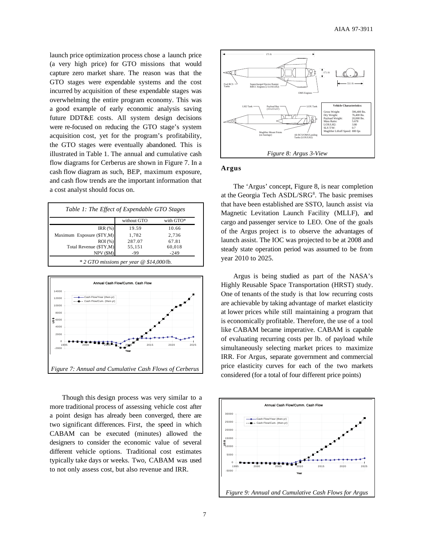launch price optimization process chose a launch price (a very high price) for GTO missions that would capture zero market share. The reason was that the GTO stages were expendable systems and the cost incurred by acquisition of these expendable stages was overwhelming the entire program economy. This was a good example of early economic analysis saving future DDT&E costs. All system design decisions were re-focused on reducing the GTO stage's system acquisition cost, yet for the program's profitability, the GTO stages were eventually abandoned. This is illustrated in Table 1. The annual and cumulative cash flow diagrams for Cerberus are shown in Figure 7. In a cash flow diagram as such, BEP, maximum exposure, and cash flow trends are the important information that a cost analyst should focus on.

|                           | without GTO | with GTO* |
|---------------------------|-------------|-----------|
| IRR $(%)$                 | 19.59       | 10.66     |
| Maximum Exposure (\$TY,M) | 1,782       | 2,736     |
| ROI (%)                   | 287.07      | 67.81     |
| Total Revenue (\$TY,M)    | 55,151      | 60,018    |
| NPV (\$M)                 | -99         | $-249$    |



Though this design process was very similar to a more traditional process of assessing vehicle cost after a point design has already been converged, there are two significant differences. First, the speed in which CABAM can be executed (minutes) allowed the designers to consider the economic value of several different vehicle options. Traditional cost estimates typically take days or weeks. Two, CABAM was used to not only assess cost, but also revenue and IRR.



**Argus**

The 'Argus' concept, Figure 8, is near completion at the Georgia Tech ASDL/SRG<sup>8</sup>. The basic premises that have been established are SSTO, launch assist via Magnetic Levitation Launch Facility (MLLF), and cargo and passenger service to LEO. One of the goals of the Argus project is to observe the advantages of launch assist. The IOC was projected to be at 2008 and steady state operation period was assumed to be from year 2010 to 2025.

Argus is being studied as part of the NASA's Highly Reusable Space Transportation (HRST) study. One of tenants of the study is that low recurring costs are achievable by taking advantage of market elasticity at lower prices while still maintaining a program that is economically profitable. Therefore, the use of a tool like CABAM became imperative. CABAM is capable of evaluating recurring costs per lb. of payload while simultaneously selecting market prices to maximize IRR. For Argus, separate government and commercial price elasticity curves for each of the two markets considered (for a total of four different price points)

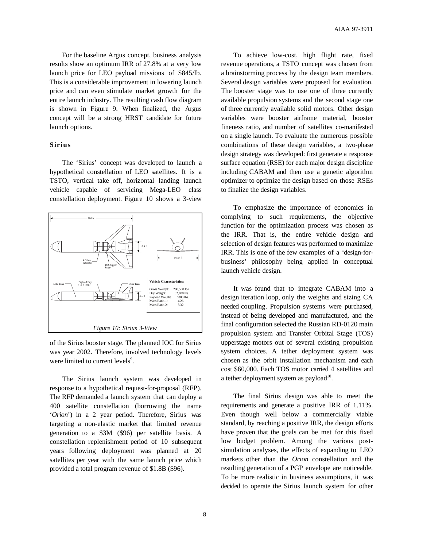For the baseline Argus concept, business analysis results show an optimum IRR of 27.8% at a very low launch price for LEO payload missions of \$845/lb. This is a considerable improvement in lowering launch price and can even stimulate market growth for the entire launch industry. The resulting cash flow diagram is shown in Figure 9. When finalized, the Argus concept will be a strong HRST candidate for future launch options.

# **Sirius**

The 'Sirius' concept was developed to launch a hypothetical constellation of LEO satellites. It is a TSTO, vertical take off, horizontal landing launch vehicle capable of servicing Mega-LEO class constellation deployment. Figure 10 shows a 3-view



of the Sirius booster stage. The planned IOC for Sirius was year 2002. Therefore, involved technology levels were limited to current levels<sup>9</sup>.

The Sirius launch system was developed in response to a hypothetical request-for-proposal (RFP). The RFP demanded a launch system that can deploy a 400 satellite constellation (borrowing the name '*Orion*') in a 2 year period. Therefore, Sirius was targeting a non-elastic market that limited revenue generation to a \$3M (\$96) per satellite basis. A constellation replenishment period of 10 subsequent years following deployment was planned at 20 satellites per year with the same launch price which provided a total program revenue of \$1.8B (\$96).

To achieve low-cost, high flight rate, fixed revenue operations, a TSTO concept was chosen from a brainstorming process by the design team members. Several design variables were proposed for evaluation. The booster stage was to use one of three currently available propulsion systems and the second stage one of three currently available solid motors. Other design variables were booster airframe material, booster fineness ratio, and number of satellites co-manifested on a single launch. To evaluate the numerous possible combinations of these design variables, a two-phase design strategy was developed: first generate a response surface equation (RSE) for each major design discipline including CABAM and then use a genetic algorithm optimizer to optimize the design based on those RSEs to finalize the design variables.

To emphasize the importance of economics in complying to such requirements, the objective function for the optimization process was chosen as the IRR. That is, the entire vehicle design and selection of design features was performed to maximize IRR. This is one of the few examples of a 'design-forbusiness' philosophy being applied in conceptual launch vehicle design.

It was found that to integrate CABAM into a design iteration loop, only the weights and sizing CA needed coupling. Propulsion systems were purchased, instead of being developed and manufactured, and the final configuration selected the Russian RD-0120 main propulsion system and Transfer Orbital Stage (TOS) upperstage motors out of several existing propulsion system choices. A tether deployment system was chosen as the orbit installation mechanism and each cost \$60,000. Each TOS motor carried 4 satellites and a tether deployment system as payload<sup>10</sup>.

The final Sirius design was able to meet the requirements and generate a positive IRR of 1.11%. Even though well below a commercially viable standard, by reaching a positive IRR, the design efforts have proven that the goals can be met for this fixed low budget problem. Among the various postsimulation analyses, the effects of expanding to LEO markets other than the *Orion* constellation and the resulting generation of a PGP envelope are noticeable. To be more realistic in business assumptions, it was decided to operate the Sirius launch system for other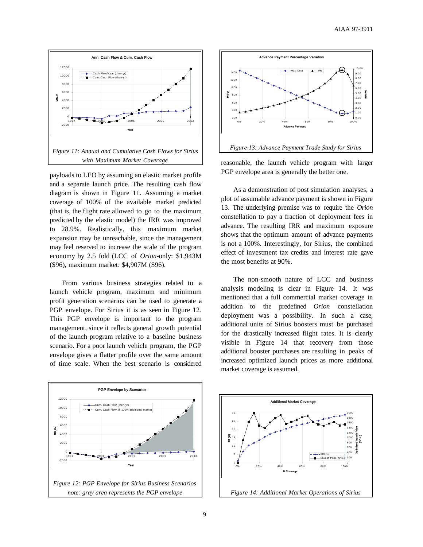

payloads to LEO by assuming an elastic market profile and a separate launch price. The resulting cash flow diagram is shown in Figure 11. Assuming a market coverage of 100% of the available market predicted (that is, the flight rate allowed to go to the maximum predicted by the elastic model) the IRR was improved to 28.9%. Realistically, this maximum market expansion may be unreachable, since the management may feel reserved to increase the scale of the program economy by 2.5 fold (LCC of *Orion*-only: \$1,943M (\$96), maximum market: \$4,907M (\$96).

From various business strategies related to a launch vehicle program, maximum and minimum profit generation scenarios can be used to generate a PGP envelope. For Sirius it is as seen in Figure 12. This PGP envelope is important to the program management, since it reflects general growth potential of the launch program relative to a baseline business scenario. For a poor launch vehicle program, the PGP envelope gives a flatter profile over the same amount of time scale. When the best scenario is considered



reasonable, the launch vehicle program with larger PGP envelope area is generally the better one.

As a demonstration of post simulation analyses, a plot of assumable advance payment is shown in Figure 13. The underlying premise was to require the *Orion* constellation to pay a fraction of deployment fees in advance. The resulting IRR and maximum exposure shows that the optimum amount of advance payments is not a 100%. Interestingly, for Sirius, the combined effect of investment tax credits and interest rate gave the most benefits at 90%.

The non-smooth nature of LCC and business analysis modeling is clear in Figure 14. It was mentioned that a full commercial market coverage in addition to the predefined *Orion* constellation deployment was a possibility. In such a case, additional units of Sirius boosters must be purchased for the drastically increased flight rates. It is clearly visible in Figure 14 that recovery from those additional booster purchases are resulting in peaks of increased optimized launch prices as more additional market coverage is assumed.



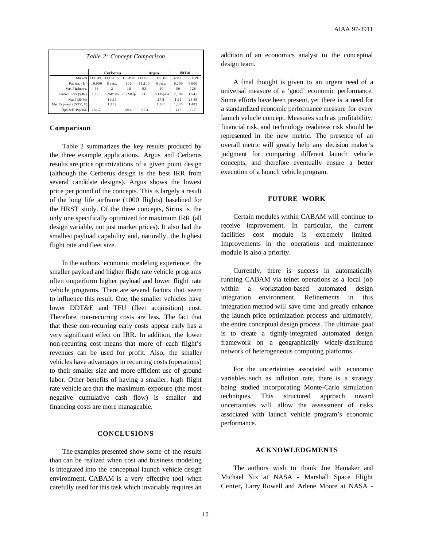| Table 2: Concept Comparison |          |                |                          |        |               |               |        |  |  |  |
|-----------------------------|----------|----------------|--------------------------|--------|---------------|---------------|--------|--|--|--|
|                             | Cerberus |                |                          | Argus  |               | <b>Sirius</b> |        |  |  |  |
| Markets                     | LEO-PL   | LEO-ISS        | <b>HS-PTP</b>            | LEO-PL | LEO-ISS       | Orion         | LEO-PL |  |  |  |
| Payload (lb.)               | 10,000   | 8 pass.        | 100                      | 11.100 | 6 pass.       | 6.000         | 6,000  |  |  |  |
| Max Flights/yr.             | 43       | $\mathfrak{D}$ | 18                       | 93     | 10            | 50            | 126    |  |  |  |
| Launch Price (\$/b.)        | 1.355    |                | 1.2 M/p ass. 3.87 M/trip | 845    | $0.51M$ pass. | 2.000         | 1.547  |  |  |  |
| Max IRR (%)                 |          | 19.59          |                          |        | 27.8          | 1.11          | 28.88  |  |  |  |
| Max Exposure (\$TY, M)      |          | 1.782          |                          |        | 1.306         | 1.445         | 1.482  |  |  |  |
| Ops.S/b.Paybad              | 131.2    |                | 39.4                     | 99.4   | ٠             | 117           | 117    |  |  |  |

# **Comparison**

Table 2 summarizes the key results produced by the three example applications. Argus and Cerberus results are price optimizations of a given point design (although the Cerberus design is the best IRR from several candidate designs). Argus shows the lowest price per pound of the concepts. This is largely a result of the long life airframe (1000 flights) baselined for the HRST study. Of the three concepts, Sirius is the only one specifically optimized for maximum IRR (all design variable, not just market prices). It also had the smallest payload capability and, naturally, the highest flight rate and fleet size.

In the authors' economic modeling experience, the smaller payload and higher flight rate vehicle programs often outperform higher payload and lower flight rate vehicle programs. There are several factors that seem to influence this result. One, the smaller vehicles have lower DDT&E and TFU (fleet acquisition) cost. Therefore, non-recurring costs are less. The fact that that these non-recurring early costs appear early has a very significant effect on IRR. In addition, the lower non-recurring cost means that more of each flight's revenues can be used for profit. Also, the smaller vehicles have advantages in recurring costs (operations) to their smaller size and more efficient use of ground labor. Other benefits of having a smaller, high flight rate vehicle are that the maximum exposure (the most negative cumulative cash flow) is smaller and financing costs are more manageable.

# **CONCLUSIONS**

The examples presented show some of the results than can be realized when cost and business modeling is integrated into the conceptual launch vehicle design environment. CABAM is a very effective tool when carefully used for this task which invariably requires an

addition of an economics analyst to the conceptual design team.

A final thought is given to an urgent need of a universal measure of a 'good' economic performance. Some efforts have been present, yet there is a need for a standardized economic performance measure for every launch vehicle concept. Measures such as profitability, financial risk, and technology readiness risk should be represented in the new metric. The presence of an overall metric will greatly help any decision maker's judgment for comparing different launch vehicle concepts, and therefore eventually ensure a better execution of a launch vehicle program.

#### **FUTURE WORK**

Certain modules within CABAM will continue to receive improvement. In particular, the current facilities cost module is extremely limited. Improvements in the operations and maintenance module is also a priority.

Currently, there is success in automatically running CABAM via telnet operations as a local job within a workstation-based automated design integration environment. Refinements in this integration method will save time and greatly enhance the launch price optimization process and ultimately, the entire conceptual design process. The ultimate goal is to create a tightly-integrated automated design framework on a geographically widely-distributed network of heterogeneous computing platforms.

For the uncertainties associated with economic variables such as inflation rate, there is a strategy being studied incorporating Monte-Carlo simulation techniques. This structured approach toward uncertainties will allow the assessment of risks associated with launch vehicle program's economic performance.

#### **ACKNOWLEDGMENTS**

The authors wish to thank Joe Hamaker and Michael Nix at NASA - Marshall Space Flight Center**,** Larry Rowell and Arlene Moore at NASA -